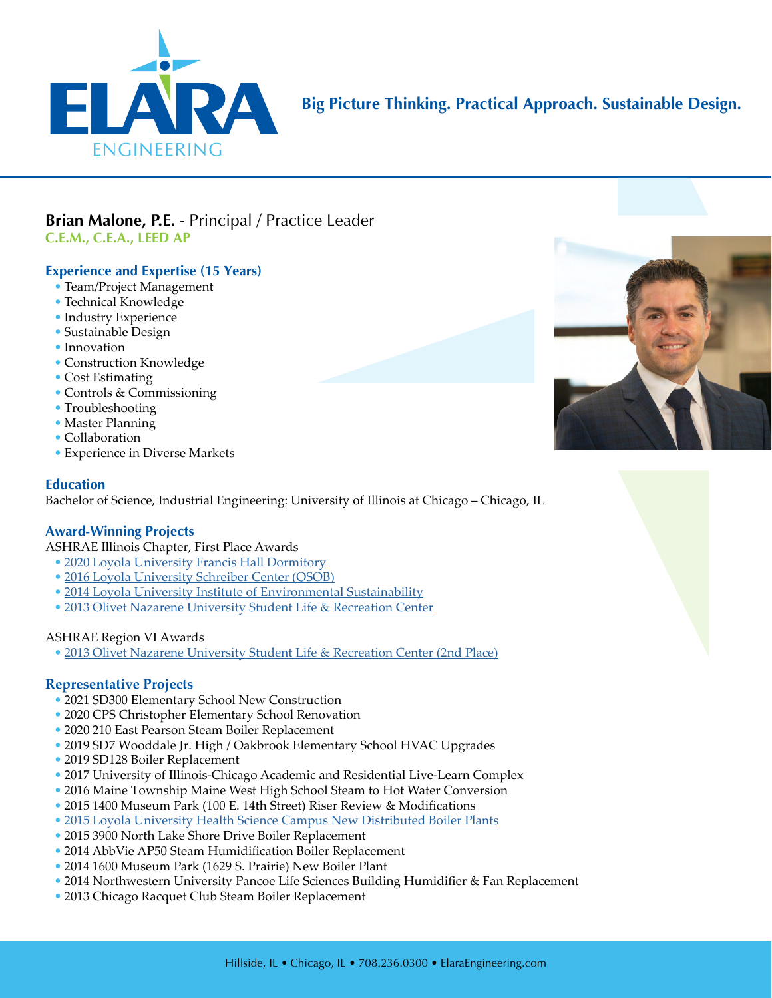

# **Big Picture Thinking. Practical Approach. Sustainable Design.**

# **Brian Malone, P.E.** - Principal / Practice Leader **C.E.M., C.E.A., LEED AP**

## **Experience and Expertise (15 Years)**

- Team/Project Management
- Technical Knowledge
- Industry Experience
- Sustainable Design
- Innovation
- Construction Knowledge
- Cost Estimating
- Controls & Commissioning
- Troubleshooting
- Master Planning
- Collaboration
- Experience in Diverse Markets

#### **Education**

Bachelor of Science, Industrial Engineering: University of Illinois at Chicago – Chicago, IL

#### **Award-Winning Projects**

ASHRAE Illinois Chapter, First Place Awards

- [2020 Loyola University Francis Hall Dormitory](https://elaraeng.com/markets-projects/higher-education/francis-residence-hall/)
- [2016 Loyola University Schreiber Center \(QSOB\)](http://www.elaraeng.com/wp-content/uploads/2017/04/Elara-Project-LUC-Quinlan.pdf)
- [2014 Loyola University Institute of Environmental Sustainability](http://www.elaraeng.com/wp-content/uploads/2017/04/Elara-Project-LUC-Information-Commons-1.pdf)
- [2013 Olivet Nazarene University Student Life & Recreation Center](http://www.elaraeng.com/wp-content/uploads/2017/04/Elara-Project-ONU-Student-Center.pdf)

#### ASHRAE Region VI Awards

• [2013 Olivet Nazarene University Student Life & Recreation Center \(2nd Place\)](http://www.elaraeng.com/wp-content/uploads/2017/04/Elara-Project-ONU-Student-Center.pdf)

#### **Representative Projects**

- 2021 SD300 Elementary School New Construction
- 2020 CPS Christopher Elementary School Renovation
- 2020 210 East Pearson Steam Boiler Replacement
- 2019 SD7 Wooddale Jr. High / Oakbrook Elementary School HVAC Upgrades
- 2019 SD128 Boiler Replacement
- 2017 University of Illinois-Chicago Academic and Residential Live-Learn Complex
- 2016 Maine Township Maine West High School Steam to Hot Water Conversion
- 2015 1400 Museum Park (100 E. 14th Street) Riser Review & Modifications
- [2015 Loyola University Health Science Campus New Distributed Boiler Plants](http://www.elaraeng.com/wp-content/uploads/2018/04/Elara-Project-LUC-Health-Sciences-Campus.pdf)
- 2015 3900 North Lake Shore Drive Boiler Replacement
- 2014 AbbVie AP50 Steam Humidification Boiler Replacement
- 2014 1600 Museum Park (1629 S. Prairie) New Boiler Plant
- 2014 Northwestern University Pancoe Life Sciences Building Humidifier & Fan Replacement
- 2013 Chicago Racquet Club Steam Boiler Replacement